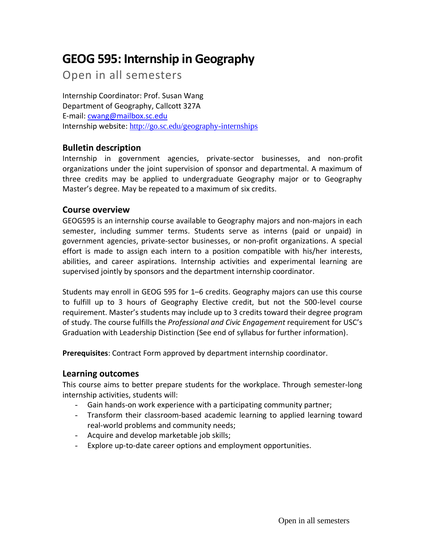# **GEOG 595: Internship in Geography**

Open in all semesters

Internship Coordinator: Prof. Susan Wang Department of Geography, Callcott 327A E-mail: [cwang@mailbox.sc.edu](mailto:cwang@mailbox.sc.edu) Internship website: <http://go.sc.edu/geography-internships>

## **Bulletin description**

Internship in government agencies, private-sector businesses, and non-profit organizations under the joint supervision of sponsor and departmental. A maximum of three credits may be applied to undergraduate Geography major or to Geography Master's degree. May be repeated to a maximum of six credits.

### **Course overview**

GEOG595 is an internship course available to Geography majors and non-majors in each semester, including summer terms. Students serve as interns (paid or unpaid) in government agencies, private-sector businesses, or non-profit organizations. A special effort is made to assign each intern to a position compatible with his/her interests, abilities, and career aspirations. Internship activities and experimental learning are supervised jointly by sponsors and the department internship coordinator.

Students may enroll in GEOG 595 for 1–6 credits. Geography majors can use this course to fulfill up to 3 hours of Geography Elective credit, but not the 500-level course requirement. Master's students may include up to 3 credits toward their degree program of study. The course fulfills the *Professional and Civic Engagement* requirement for USC's Graduation with Leadership Distinction (See end of syllabus for further information).

**Prerequisites**: Contract Form approved by department internship coordinator.

#### **Learning outcomes**

This course aims to better prepare students for the workplace. Through semester-long internship activities, students will:

- Gain hands-on work experience with a participating community partner;
- Transform their classroom-based academic learning to applied learning toward real-world problems and community needs;
- Acquire and develop marketable job skills;
- Explore up-to-date career options and employment opportunities.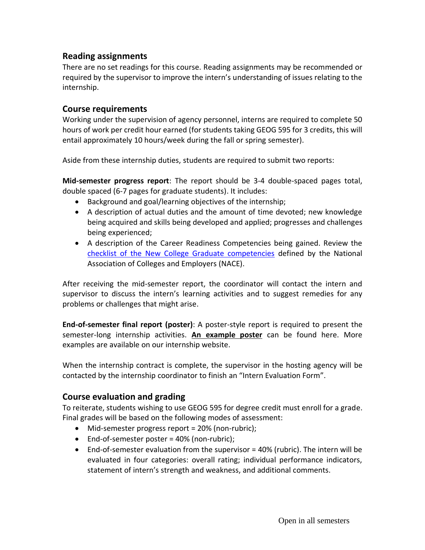## **Reading assignments**

There are no set readings for this course. Reading assignments may be recommended or required by the supervisor to improve the intern's understanding of issues relating to the internship.

### **Course requirements**

Working under the supervision of agency personnel, interns are required to complete 50 hours of work per credit hour earned (for students taking GEOG 595 for 3 credits, this will entail approximately 10 hours/week during the fall or spring semester).

Aside from these internship duties, students are required to submit two reports:

**Mid-semester progress report**: The report should be 3-4 double-spaced pages total, double spaced (6-7 pages for graduate students). It includes:

- Background and goal/learning objectives of the internship;
- A description of actual duties and the amount of time devoted; new knowledge being acquired and skills being developed and applied; progresses and challenges being experienced;
- A description of the Career Readiness Competencies being gained. Review the [checklist of the New College Graduate competencies](https://www.sc.edu/study/colleges_schools/artsandsciences/geography/documents/geog595_nace_fact_sheet.pdf) defined by the National Association of Colleges and Employers (NACE).

After receiving the mid-semester report, the coordinator will contact the intern and supervisor to discuss the intern's learning activities and to suggest remedies for any problems or challenges that might arise.

**End-of-semester final report (poster)**: A poster-style report is required to present the semester-long internship activities. **[An example poster](https://www.sc.edu/study/colleges_schools/artsandsciences/geography/documents/geog595_example_final_poster_leah_sco.pdf)** can be found here. More examples are available on our internship website.

When the internship contract is complete, the supervisor in the hosting agency will be contacted by the internship coordinator to finish an "Intern Evaluation Form".

## **Course evaluation and grading**

To reiterate, students wishing to use GEOG 595 for degree credit must enroll for a grade. Final grades will be based on the following modes of assessment:

- Mid-semester progress report = 20% (non-rubric);
- End-of-semester poster = 40% (non-rubric);
- End-of-semester evaluation from the supervisor = 40% (rubric). The intern will be evaluated in four categories: overall rating; individual performance indicators, statement of intern's strength and weakness, and additional comments.